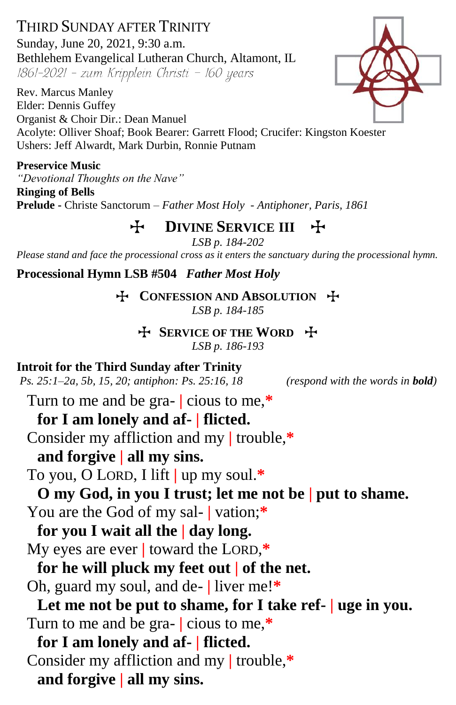THIRD SUNDAY AFTER TRINITY Sunday, June 20, 2021, 9:30 a.m. Bethlehem Evangelical Lutheran Church, Altamont, IL 1861-2021 - zum Kripplein Christi - 160 years

Rev. Marcus Manley Elder: Dennis Guffey Organist & Choir Dir.: Dean Manuel Acolyte: Olliver Shoaf; Book Bearer: Garrett Flood; Crucifer: Kingston Koester Ushers: Jeff Alwardt, Mark Durbin, Ronnie Putnam

**Preservice Music** *"Devotional Thoughts on the Nave"*

**Ringing of Bells Prelude -** Christe Sanctorum – *Father Most Holy - Antiphoner, Paris, 1861*

**H** DIVINE SERVICE III +

*LSB p. 184-202*

*Please stand and face the processional cross as it enters the sanctuary during the processional hymn.*

**Processional Hymn LSB #504** *Father Most Holy*

**T** CONFESSION AND ABSOLUTION **T** *LSB p. 184-185*

T **SERVICE OF THE WORD** T

*LSB p. 186-193*

**Introit for the Third Sunday after Trinity**

*Ps. 25:1–2a, 5b, 15, 20; antiphon: Ps. 25:16, 18**(respond with the words in bold)*

Turn to me and be gra- **|** cious to me,**\***

# **for I am lonely and af- | flicted.**

Consider my affliction and my **|** trouble,**\***

# **and forgive | all my sins.**

To you, O LORD, I lift **|** up my soul.**\***

**O my God, in you I trust; let me not be | put to shame.**

You are the God of my sal- **|** vation;**\***

**for you I wait all the | day long.**

My eyes are ever **|** toward the LORD,**\***

**for he will pluck my feet out | of the net.**

Oh, guard my soul, and de- **|** liver me!**\***

**Let me not be put to shame, for I take ref- | uge in you.** Turn to me and be gra- **|** cious to me,**\***

**for I am lonely and af- | flicted.** Consider my affliction and my **|** trouble,**\* and forgive | all my sins.**

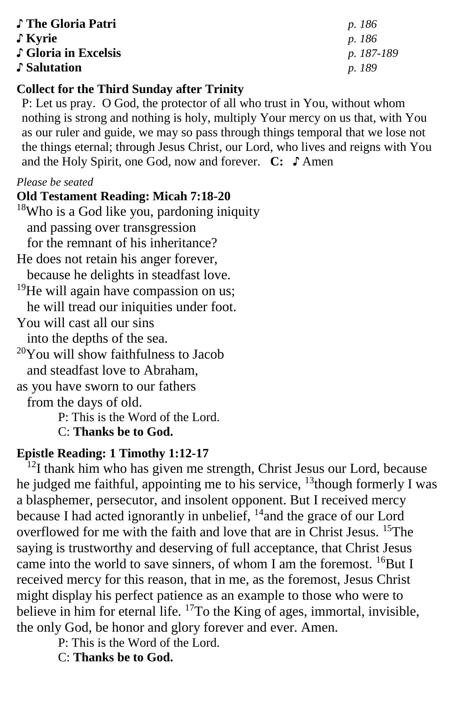♪ **The Gloria Patri** *p. 186* ♪ **Kyrie** *p. 186* ♪ **Gloria in Excelsis** *p. 187-189* ♪ **Salutation** *p. 189*

## **Collect for the Third Sunday after Trinity**

P: Let us pray. O God, the protector of all who trust in You, without whom nothing is strong and nothing is holy, multiply Your mercy on us that, with You as our ruler and guide, we may so pass through things temporal that we lose not the things eternal; through Jesus Christ, our Lord, who lives and reigns with You and the Holy Spirit, one God, now and forever. **C:** ♪ Amen

## *Please be seated*

## **Old Testament Reading: Micah 7:18-20**

 $18$ Who is a God like you, pardoning iniquity and passing over transgression for the remnant of his inheritance? He does not retain his anger forever, because he delights in steadfast love.  $19$ He will again have compassion on us; he will tread our iniquities under foot. You will cast all our sins into the depths of the sea.  $20$ You will show faithfulness to Jacob and steadfast love to Abraham, as you have sworn to our fathers from the days of old. P: This is the Word of the Lord. C: **Thanks be to God.**

## **Epistle Reading: 1 Timothy 1:12-17**

 $12$ I thank him who has given me strength, Christ Jesus our Lord, because he judged me faithful, appointing me to his service,  $^{13}$ though formerly I was a blasphemer, persecutor, and insolent opponent. But I received mercy because I had acted ignorantly in unbelief, <sup>14</sup> and the grace of our Lord overflowed for me with the faith and love that are in Christ Jesus. <sup>15</sup>The saying is trustworthy and deserving of full acceptance, that Christ Jesus came into the world to save sinners, of whom I am the foremost. <sup>16</sup>But I received mercy for this reason, that in me, as the foremost, Jesus Christ might display his perfect patience as an example to those who were to believe in him for eternal life.  $^{17}$ To the King of ages, immortal, invisible, the only God, be honor and glory forever and ever. Amen.

P: This is the Word of the Lord.

C: **Thanks be to God.**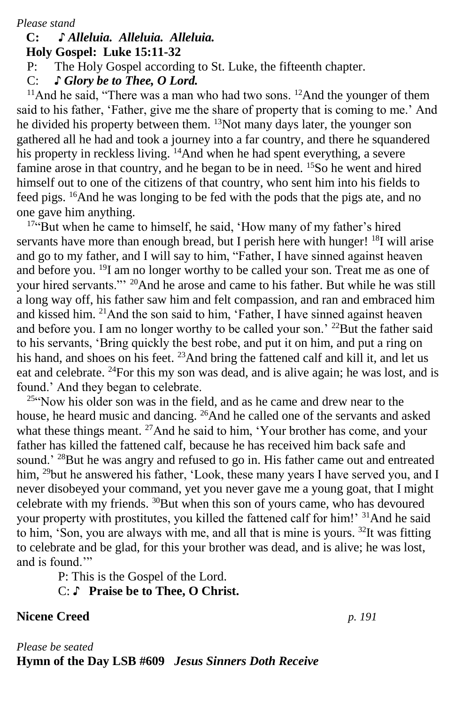*Please stand*

#### **C: ♪** *Alleluia. Alleluia. Alleluia.*  **Holy Gospel: Luke 15:11-32**

P: The Holy Gospel according to St. Luke, the fifteenth chapter.

C: *♪ Glory be to Thee, O Lord.*

<sup>11</sup>And he said, "There was a man who had two sons. <sup>12</sup>And the younger of them said to his father, 'Father, give me the share of property that is coming to me.' And he divided his property between them. <sup>13</sup>Not many days later, the younger son gathered all he had and took a journey into a far country, and there he squandered his property in reckless living. <sup>14</sup>And when he had spent everything, a severe famine arose in that country, and he began to be in need. <sup>15</sup>So he went and hired himself out to one of the citizens of that country, who sent him into his fields to feed pigs. <sup>16</sup>And he was longing to be fed with the pods that the pigs ate, and no one gave him anything.

<sup>17"</sup>But when he came to himself, he said, 'How many of my father's hired servants have more than enough bread, but I perish here with hunger! <sup>18</sup>I will arise and go to my father, and I will say to him, "Father, I have sinned against heaven and before you. <sup>19</sup>I am no longer worthy to be called your son. Treat me as one of your hired servants."' <sup>20</sup>And he arose and came to his father. But while he was still a long way off, his father saw him and felt compassion, and ran and embraced him and kissed him. <sup>21</sup>And the son said to him, 'Father, I have sinned against heaven and before you. I am no longer worthy to be called your son.' <sup>22</sup>But the father said to his servants, 'Bring quickly the best robe, and put it on him, and put a ring on his hand, and shoes on his feet. <sup>23</sup>And bring the fattened calf and kill it, and let us eat and celebrate. <sup>24</sup>For this my son was dead, and is alive again; he was lost, and is found.' And they began to celebrate.

<sup>25"</sup>Now his older son was in the field, and as he came and drew near to the house, he heard music and dancing. <sup>26</sup>And he called one of the servants and asked what these things meant. <sup>27</sup>And he said to him, 'Your brother has come, and your father has killed the fattened calf, because he has received him back safe and sound.' <sup>28</sup>But he was angry and refused to go in. His father came out and entreated him, <sup>29</sup>but he answered his father, 'Look, these many years I have served you, and I never disobeyed your command, yet you never gave me a young goat, that I might celebrate with my friends. <sup>30</sup>But when this son of yours came, who has devoured your property with prostitutes, you killed the fattened calf for him!' <sup>31</sup>And he said to him, 'Son, you are always with me, and all that is mine is yours. <sup>32</sup>It was fitting to celebrate and be glad, for this your brother was dead, and is alive; he was lost, and is found."

P: This is the Gospel of the Lord.

C: ♪ **Praise be to Thee, O Christ.**

## **Nicene Creed** *p. 191*

## *Please be seated* **Hymn of the Day LSB #609** *Jesus Sinners Doth Receive*